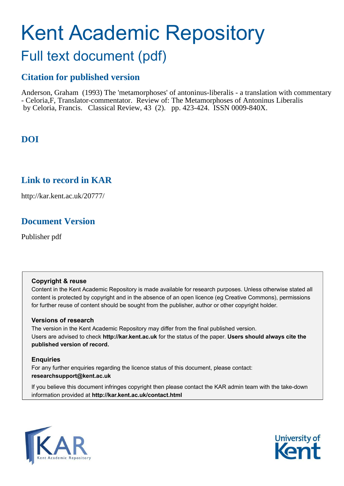# Kent Academic Repository Full text document (pdf)

## **Citation for published version**

Anderson, Graham (1993) The 'metamorphoses' of antoninus-liberalis - a translation with commentary - Celoria,F, Translator-commentator. Review of: The Metamorphoses of Antoninus Liberalis by Celoria, Francis. Classical Review, 43 (2). pp. 423-424. ISSN 0009-840X.

## **DOI**

## **Link to record in KAR**

http://kar.kent.ac.uk/20777/

## **Document Version**

Publisher pdf

#### **Copyright & reuse**

Content in the Kent Academic Repository is made available for research purposes. Unless otherwise stated all content is protected by copyright and in the absence of an open licence (eg Creative Commons), permissions for further reuse of content should be sought from the publisher, author or other copyright holder.

#### **Versions of research**

The version in the Kent Academic Repository may differ from the final published version. Users are advised to check **http://kar.kent.ac.uk** for the status of the paper. **Users should always cite the published version of record.**

#### **Enquiries**

For any further enquiries regarding the licence status of this document, please contact: **researchsupport@kent.ac.uk**

If you believe this document infringes copyright then please contact the KAR admin team with the take-down information provided at **http://kar.kent.ac.uk/contact.html**



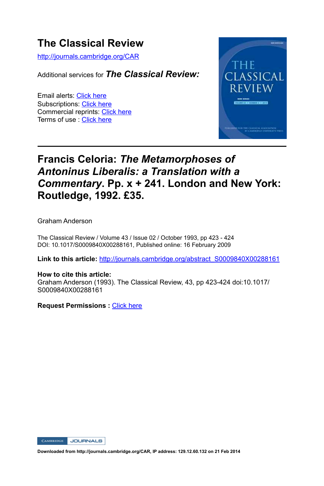## **The Classical Review**

http://journals.cambridge.org/CAR

Additional services for **The Classical Review:** 

Email alerts: Click here **Subscriptions: Click here** Commercial reprints: Click here Terms of use: Click here



### **Francis Celoria: The Metamorphoses of** Antoninus Liberalis: a Translation with a Commentary. Pp. x + 241. London and New York: Routledge, 1992. £35.

Graham Anderson

The Classical Review / Volume 43 / Issue 02 / October 1993, pp 423 - 424 DOI: 10.1017/S0009840X00288161, Published online: 16 February 2009

Link to this article: http://journals.cambridge.org/abstract S0009840X00288161

#### How to cite this article:

Graham Anderson (1993). The Classical Review, 43, pp 423-424 doi:10.1017/ S0009840X00288161

**Request Permissions: Click here** 

CAMBRIDGE JOURNALS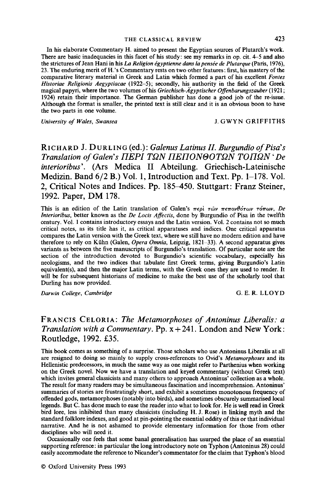#### THE CLASSICAL REVIEW 423

In his elaborate Commentary H. aimed to present the Egyptian sources of Plutarch's work. There are basic inadequacies in this facet of his study: see my remarks in op. cit. 4-5 and also the strictures of Jean Hani in his *La Religion egyptienne dans lapensee de Plutarque* (Paris, 1976), 23. The enduring merit of H.'s Commentary rests on two other features: first, his mastery of the comparative literary material in Greek and Latin which formed a part of his excellent *Fontes Historiae Religionis Aegyptiacae* (1922-5); secondly, his authority in the field of the Greek magical papyri, where the two volumes of his *Griechisch-Agyptischer Offenbarungszauber* (1921; 1924) retain their importance. The German publisher has done a good job of the re-issue. Although the format is smaller, the printed text is still clear and it is an obvious boon to have the two parts in one volume.

*University of Wales, Swansea* J. GWYN GRIFFITHS

RICHARD J. DURLING (ed.): *Galenus Latinus II. Burgundio of Pisa's Translation of Galen's IJEPI TQN TIEnONQOTQN TOIJQN*' *De interioribus'.* (Ars Medica II Abteilung. Griechisch-Lateinische Medizin. Band 6/2 B.) Vol. 1, Introduction and Text. Pp. 1–178. Vol. 2, Critical Notes and Indices. Pp. 185-450. Stuttgart: Franz Steiner, 1992. Paper, DM 178.

This is an edition of the Latin translation of Galen's  $\pi \epsilon \rho \partial \psi \pi \epsilon \tau \partial \psi \partial \phi \partial \phi$   $\tau \partial \tau \omega \nu$ , De *Interioribus,* better known as the *De Locis Affectis,* done by Burgundio of Pisa in the twelfth century. Vol. 1 contains introductory essays and the Latin version. Vol. 2 contains not so much critical notes, as its title has it, as critical apparatuses and indices. One critical apparatus compares the Latin version with the Greek text, where we still have no modern edition and have therefore to rely on Kiihn (Galen, *Opera Omnia,* Leipzig, 1821-33). A second apparatus gives variants as between the five manuscripts of Burgundio's translation. Of particular note are the section of the introduction devoted to Burgundio's scientific vocabulary, especially his neologisms, and the two indices that tabulate first Greek terms, giving Burgundio's Latin equivalent(s), and then the major Latin terms, with the Greek ones they are used to render. It will be for subsequent historians of medicine to make the best use of the scholarly tool that Durling has now provided.

*Darwin College, Cambridge* G. E. R. LLOYD

#### FRANCIS CELORIA: *The Metamorphoses of Antoninus Liberalis: a Translation with a Commentary.* Pp. x + 241. London and New York: Routledge, 1992. £35.

This book comes as something of a surprise. Those scholars who use Antoninus Liberalis at all are resigned to doing so mainly to supply cross-references to Ovid's *Metamorphoses* and its Hellenistic predecessors, in much the same way as one might refer to Parthenius when working on the Greek novel. Now we have a translation and keyed commentary (without Greek text) which invites general classicists and many others to approach Antoninus' collection as a whole. The result for many readers may be simultaneous fascination and incomprehension. Antoninus' summaries of stories are frustratingly short, and exhibit a sometimes monotonous frequency of offended gods, metamorphoses (notably into birds), and sometimes obscurely summarised local legends. But C. has done much to ease the reader into what to look for. He is well read in Greek bird lore, less inhibited than many classicists (including H. J. Rose) in linking myth and the standard folklore indexes, and good at pin-pointing the essential oddity of this or that individual narrative. And he is not ashamed to provide elementary information for those from other disciplines who will need it.

Occasionally one feels that some banal generalisation has usurped the place of an essential supporting reference: in particular the long introductory note on Typhon (Antoninus 28) could easily accommodate the reference to Nicander's commentator for the claim that Typhon's blood